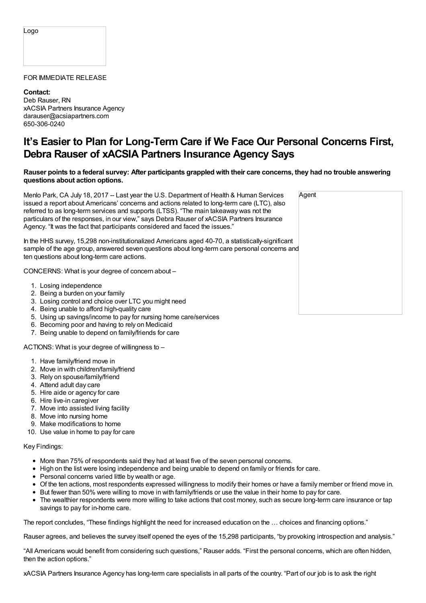Logo

## FOR IMMEDIATE RELEASE

**Contact:** Deb Rauser, RN xACSIA Partners Insurance Agency darauser@acsiapartners.com 650-306-0240

## **It's Easier to Plan for Long-Term Care if We Face Our Personal Concerns First, Debra Rauser of xACSIA Partners Insurance Agency Says**

## Rauser points to a federal survey: After participants grappled with their care concerns, they had no trouble answering **questions about action options.**

Menlo Park, CA July 18, 2017 -- Last year the U.S. Department of Health & Human Services issued a report about Americans' concerns and actions related to long-term care (LTC), also referred to as long-term services and supports (LTSS). "The main takeaway was not the particulars of the responses, in our view," says Debra Rauser of xACSIA Partners Insurance Agency. "It was the fact that participants considered and faced the issues."

In the HHS survey, 15,298 non-institutionalized Americans aged 40-70, a statistically-significantlysample of the age group, answered seven questions about long-term care personal concerns a ten questions about long-term care actions.

CONCERNS: What is your degree of concern about –

- 1. Losing independence
- 2. Being a burden on your family
- 3. Losing control and choice over LTC you might need
- 4. Being unable to afford high-quality care
- 5. Using up savings/income to pay for nursing home care/services
- 6. Becoming poor and having to rely on Medicaid
- 7. Being unable to depend on family/friends for care

ACTIONS: What is your degree of willingness to –

- 1. Have family/friend move in
- 2. Move in with children/family/friend
- 3. Rely on spouse/family/friend
- 4. Attend adult day care
- 5. Hire aide or agency for care
- 6. Hire live-in caregiver
- 7. Move into assisted living facility
- 8. Move into nursing home
- 9. Make modifications to home
- 10. Use value in home to pay for care

## Key Findings:

- More than 75% of respondents said they had at least five of the seven personal concerns.
- High on the list were losing independence and being unable to depend on family or friends for care.
- Personal concerns varied little by wealth or age.
- Of the ten actions, most respondents expressed willingness to modify their homes or have a family member or friend move in.
- But fewer than 50% were willing to move in with family/friends or use the value in their home to pay for care.
- The wealthier respondents were more willing to take actions that cost money, such as secure long-term care insurance or tap savings to pay for in-home care.

The report concludes, "These findings highlight the need for increased education on the … choices and financing options."

Rauser agrees, and believes the survey itself opened the eyes of the 15,298 participants, "by provoking introspection and analysis."

"All Americans would benefit from considering such questions," Rauser adds. "First the personal concerns, which are often hidden, then the action options."

xACSIA Partners Insurance Agency has long-term care specialists in all parts of the country. "Part of our job is to ask the right

|           | Agent |  |  |  |
|-----------|-------|--|--|--|
|           |       |  |  |  |
| it<br>and |       |  |  |  |
|           |       |  |  |  |
|           |       |  |  |  |
|           |       |  |  |  |